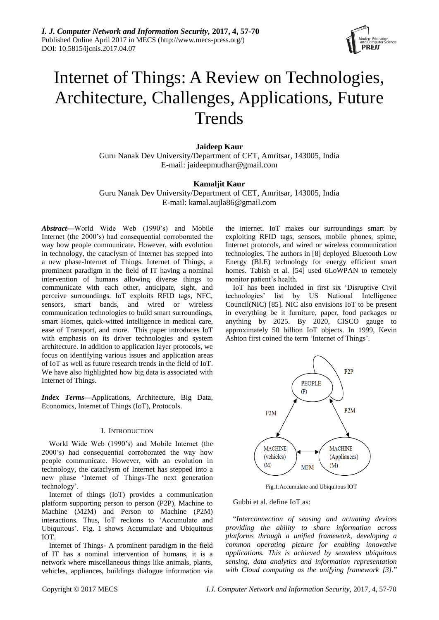

# Internet of Things: A Review on Technologies, Architecture, Challenges, Applications, Future **Trends**

# **Jaideep Kaur**

Guru Nanak Dev University/Department of CET, Amritsar, 143005, India E-mail: jaideepmudhar@gmail.com

# **Kamaljit Kaur**

Guru Nanak Dev University/Department of CET, Amritsar, 143005, India E-mail: kamal.aujla86@gmail.com

*Abstract***—**World Wide Web (1990"s) and Mobile Internet (the 2000"s) had consequential corroborated the way how people communicate. However, with evolution in technology, the cataclysm of Internet has stepped into a new phase-Internet of Things. Internet of Things, a prominent paradigm in the field of IT having a nominal intervention of humans allowing diverse things to communicate with each other, anticipate, sight, and perceive surroundings. IoT exploits RFID tags, NFC, sensors, smart bands, and wired or wireless communication technologies to build smart surroundings, smart Homes, quick-witted intelligence in medical care, ease of Transport, and more. This paper introduces IoT with emphasis on its driver technologies and system architecture. In addition to application layer protocols, we focus on identifying various issues and application areas of IoT as well as future research trends in the field of IoT. We have also highlighted how big data is associated with Internet of Things.

*Index Terms***—**Applications, Architecture, Big Data, Economics, Internet of Things (IoT), Protocols.

# I. INTRODUCTION

World Wide Web (1990"s) and Mobile Internet (the 2000"s) had consequential corroborated the way how people communicate. However, with an evolution in technology, the cataclysm of Internet has stepped into a new phase "Internet of Things-The next generation technology".

Internet of things (IoT) provides a communication platform supporting person to person (P2P), Machine to Machine (M2M) and Person to Machine (P2M) interactions. Thus, IoT reckons to "Accumulate and Ubiquitous". Fig. 1 shows Accumulate and Ubiquitous IOT.

Internet of Things- A prominent paradigm in the field of IT has a nominal intervention of humans, it is a network where miscellaneous things like animals, plants, vehicles, appliances, buildings dialogue information via the internet. IoT makes our surroundings smart by exploiting RFID tags, sensors, mobile phones, spime, Internet protocols, and wired or wireless communication technologies. The authors in [8] deployed Bluetooth Low Energy (BLE) technology for energy efficient smart homes. Tabish et al. [54] used 6LoWPAN to remotely monitor patient"s health.

IoT has been included in first six "Disruptive Civil technologies" list by US National Intelligence Council(NIC) [85]. NIC also envisions IoT to be present in everything be it furniture, paper, food packages or anything by 2025. By 2020, CISCO gauge to approximately 50 billion IoT objects. In 1999, Kevin Ashton first coined the term "Internet of Things".



Fig.1.Accumulate and Ubiquitous IOT

# Gubbi et al. define IoT as:

"*Interconnection of sensing and actuating devices providing the ability to share information across platforms through a unified framework, developing a common operating picture for enabling innovative applications. This is achieved by seamless ubiquitous sensing, data analytics and information representation with Cloud computing as the unifying framework [3].*"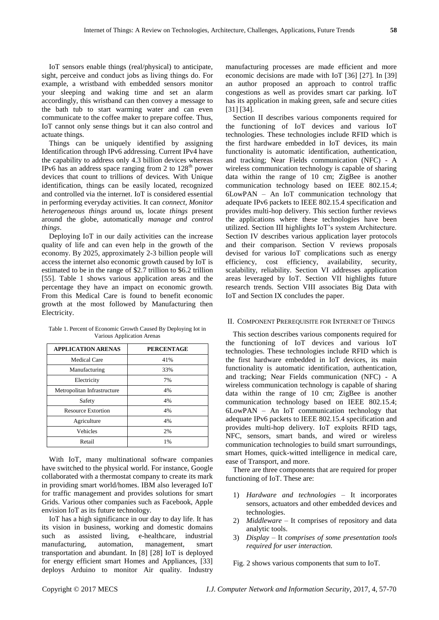IoT sensors enable things (real/physical) to anticipate, sight, perceive and conduct jobs as living things do. For example, a wristband with embedded sensors monitor your sleeping and waking time and set an alarm accordingly, this wristband can then convey a message to the bath tub to start warming water and can even communicate to the coffee maker to prepare coffee. Thus, IoT cannot only sense things but it can also control and actuate things.

Things can be uniquely identified by assigning Identification through IPv6 addressing. Current IPv4 have the capability to address only 4.3 billion devices whereas IPv6 has an address space ranging from 2 to  $128<sup>th</sup>$  power devices that count to trillions of devices. With Unique identification, things can be easily located, recognized and controlled via the internet. IoT is considered essential in performing everyday activities. It can *connect, Monitor heterogeneous things* around us, locate *things* present around the globe, automatically *manage and control things*.

Deploying IoT in our daily activities can the increase quality of life and can even help in the growth of the economy. By 2025, approximately 2-3 billion people will access the internet also economic growth caused by IoT is estimated to be in the range of \$2.7 trillion to \$6.2 trillion [55]. Table 1 shows various application areas and the percentage they have an impact on economic growth. From this Medical Care is found to benefit economic growth at the most followed by Manufacturing then Electricity.

Table 1. Percent of Economic Growth Caused By Deploying Iot in Various Application Arenas

| <b>APPLICATION ARENAS</b>   | <b>PERCENTAGE</b> |
|-----------------------------|-------------------|
| Medical Care                | 41%               |
| Manufacturing               | 33%               |
| Electricity                 | 7%                |
| Metropolitan Infrastructure | 4%                |
| Safety                      | 4%                |
| <b>Resource Extortion</b>   | 4%                |
| Agriculture                 | 4%                |
| Vehicles                    | 2%                |
| Retail                      | 1%                |

With IoT, many multinational software companies have switched to the physical world. For instance, Google collaborated with a thermostat company to create its mark in providing smart world/homes. IBM also leveraged IoT for traffic management and provides solutions for smart Grids. Various other companies such as Facebook, Apple envision IoT as its future technology.

IoT has a high significance in our day to day life. It has its vision in business, working and domestic domains such as assisted living, e-healthcare, industrial manufacturing, automation, management, smart transportation and abundant. In [8] [28] IoT is deployed for energy efficient smart Homes and Appliances, [33] deploys Arduino to monitor Air quality. Industry

manufacturing processes are made efficient and more economic decisions are made with IoT [36] [27]. In [39] an author proposed an approach to control traffic congestions as well as provides smart car parking. IoT has its application in making green, safe and secure cities [31] [34].

Section II describes various components required for the functioning of IoT devices and various IoT technologies. These technologies include RFID which is the first hardware embedded in IoT devices, its main functionality is automatic identification, authentication, and tracking; Near Fields communication (NFC) - A wireless communication technology is capable of sharing data within the range of 10 cm; ZigBee is another communication technology based on IEEE 802.15.4; 6LowPAN – An IoT communication technology that adequate IPv6 packets to IEEE 802.15.4 specification and provides multi-hop delivery. This section further reviews the applications where these technologies have been utilized. Section III highlights IoT"s system Architecture. Section IV describes various application layer protocols and their comparison. Section V reviews proposals devised for various IoT complications such as energy efficiency, cost efficiency, availability, security, scalability, reliability. Section VI addresses application areas leveraged by IoT. Section VII highlights future research trends. Section VIII associates Big Data with IoT and Section IX concludes the paper.

# II. COMPONENT PREREQUISITE FOR INTERNET OF THINGS

This section describes various components required for the functioning of IoT devices and various IoT technologies. These technologies include RFID which is the first hardware embedded in IoT devices, its main functionality is automatic identification, authentication, and tracking; Near Fields communication (NFC) - A wireless communication technology is capable of sharing data within the range of 10 cm; ZigBee is another communication technology based on IEEE 802.15.4; 6LowPAN – An IoT communication technology that adequate IPv6 packets to IEEE 802.15.4 specification and provides multi-hop delivery. IoT exploits RFID tags, NFC, sensors, smart bands, and wired or wireless communication technologies to build smart surroundings, smart Homes, quick-witted intelligence in medical care, ease of Transport, and more.

There are three components that are required for proper functioning of IoT. These are:

- 1) *Hardware and technologies –* It incorporates sensors, actuators and other embedded devices and technologies.
- 2) *Middleware –* It comprises of repository and data analytic tools.
- 3) *Display –* It *comprises of some presentation tools required for user interaction.*

Fig. 2 shows various components that sum to IoT.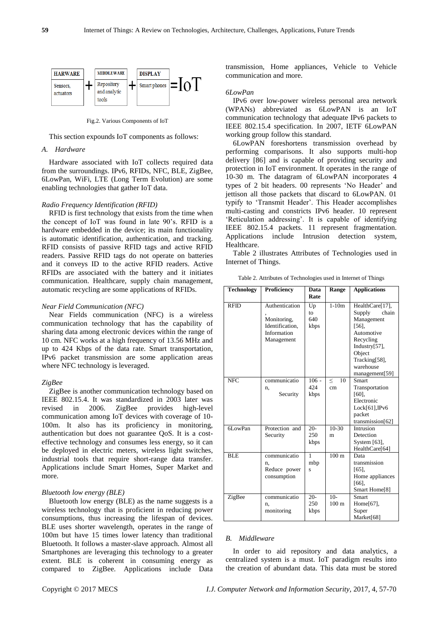

Fig.2. Various Components of IoT

This section expounds IoT components as follows:

# *A. Hardware*

Hardware associated with IoT collects required data from the surroundings. IPv6, RFIDs, NFC, BLE, ZigBee, 6LowPan, WiFi, LTE (Long Term Evolution) are some enabling technologies that gather IoT data.

# *Radio Frequency Identification (RFID)*

RFID is first technology that exists from the time when the concept of IoT was found in late 90"s. RFID is a hardware embedded in the device; its main functionality is automatic identification, authentication, and tracking. RFID consists of passive RFID tags and active RFID readers. Passive RFID tags do not operate on batteries and it conveys ID to the active RFID readers. Active RFIDs are associated with the battery and it initiates communication. Healthcare, supply chain management, automatic recycling are some applications of RFIDs.

### *Near Field Communication (NFC)*

Near Fields communication (NFC) is a wireless communication technology that has the capability of sharing data among electronic devices within the range of 10 cm. NFC works at a high frequency of 13.56 MHz and up to 424 Kbps of the data rate. Smart transportation, IPv6 packet transmission are some application areas where NFC technology is leveraged.

#### *ZigBee*

ZigBee is another communication technology based on IEEE 802.15.4. It was standardized in 2003 later was revised in 2006. ZigBee provides high-level communication among IoT devices with coverage of 10- 100m. It also has its proficiency in monitoring, authentication but does not guarantee QoS. It is a costeffective technology and consumes less energy, so it can be deployed in electric meters, wireless light switches, industrial tools that require short-range data transfer. Applications include Smart Homes, Super Market and more.

#### *Bluetooth low energy (BLE)*

Bluetooth low energy (BLE) as the name suggests is a wireless technology that is proficient in reducing power consumptions, thus increasing the lifespan of devices. BLE uses shorter wavelength, operates in the range of 100m but have 15 times lower latency than traditional Bluetooth. It follows a master-slave approach. Almost all Smartphones are leveraging this technology to a greater extent. BLE is coherent in consuming energy as compared to ZigBee. Applications include Data transmission, Home appliances, Vehicle to Vehicle communication and more.

## *6LowPan*

IPv6 over low-power wireless personal area network (WPANs) abbreviated as 6LowPAN is an IoT communication technology that adequate IPv6 packets to IEEE 802.15.4 specification. In 2007, IETF 6LowPAN working group follow this standard.

6LowPAN foreshortens transmission overhead by performing comparisons. It also supports multi-hop delivery [86] and is capable of providing security and protection in IoT environment. It operates in the range of 10-30 m. The datagram of 6LowPAN incorporates 4 types of 2 bit headers. 00 represents "No Header" and jettison all those packets that discard to 6LowPAN. 01 typify to 'Transmit Header'. This Header accomplishes multi-casting and constricts IPv6 header. 10 represent 'Reticulation addressing'. It is capable of identifying IEEE 802.15.4 packets. 11 represent fragmentation. Applications include Intrusion detection system, Healthcare.

Table 2 illustrates Attributes of Technologies used in Internet of Things.

| <b>Technology</b> | Proficiency                                                                   | Data                            | Range                     | <b>Applications</b>                                                                                                                           |
|-------------------|-------------------------------------------------------------------------------|---------------------------------|---------------------------|-----------------------------------------------------------------------------------------------------------------------------------------------|
| <b>RFID</b>       | Authentication<br>Monitoring,<br>Identification.<br>Information<br>Management | Rate<br>Up<br>to<br>640<br>kbps | $1-10m$                   | HealthCare[17],<br>Supply<br>chain<br>Management<br>[56],<br>Automotive<br>Recycling<br>Industry[57],<br>Object<br>Tracking[58],<br>warehouse |
| <b>NFC</b>        | communicatio<br>n.<br>Security                                                | $106 -$<br>424<br>kbps          | 10<br>$\,<\,$<br>cm       | management[59]<br>Smart<br>Transportation<br>$[60]$ ,<br>Electronic<br>$Lock[61]$ , IPv6<br>packet<br>transmission[62]                        |
| 6LowPan           | Protection and<br>Security                                                    | $20-$<br>250<br>kbps            | $10-30$<br>m              | Intrusion<br>Detection<br>System $[63]$ ,<br>HealthCare[64]                                                                                   |
| <b>BLE</b>        | communicatio<br>n,<br>Reduce power<br>consumption                             | $\mathbf{1}$<br>mbp<br>Ś        | 100 <sub>m</sub>          | Data<br>transmission<br>$[65]$ ,<br>Home appliances<br>[66],<br>Smart Home[8]                                                                 |
| ZigBee            | communicatio<br>n,<br>monitoring                                              | $20-$<br>250<br>kbps            | $10-$<br>100 <sub>m</sub> | Smart<br>Home[67],<br>Super<br>Market[68]                                                                                                     |

Table 2. Attributes of Technologies used in Internet of Things

#### *B. Middleware*

In order to aid repository and data analytics, a centralized system is a must. IoT paradigm results into the creation of abundant data. This data must be stored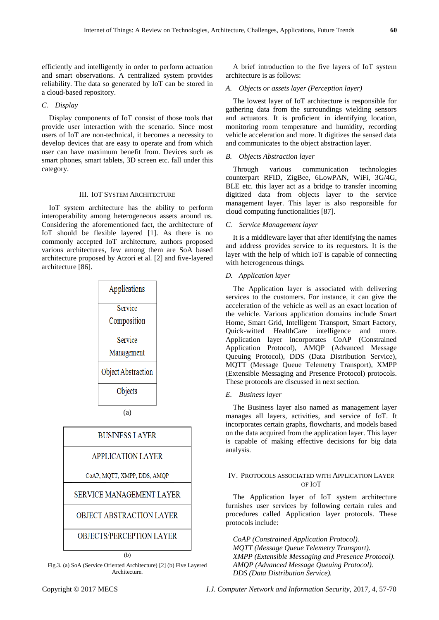efficiently and intelligently in order to perform actuation and smart observations. A centralized system provides reliability. The data so generated by IoT can be stored in a cloud-based repository.

# *C. Display*

Display components of IoT consist of those tools that provide user interaction with the scenario. Since most users of IoT are non-technical, it becomes a necessity to develop devices that are easy to operate and from which user can have maximum benefit from. Devices such as smart phones, smart tablets, 3D screen etc. fall under this category.

# III. IOT SYSTEM ARCHITECTURE

IoT system architecture has the ability to perform interoperability among heterogeneous assets around us. Considering the aforementioned fact, the architecture of IoT should be flexible layered [1]. As there is no commonly accepted IoT architecture, authors proposed various architectures, few among them are SoA based architecture proposed by Atzori et al. [2] and five-layered architecture [86].



(b) Fig.3. (a) SoA (Service Oriented Architecture) [2] (b) Five Layered Architecture.

A brief introduction to the five layers of IoT system architecture is as follows:

# *A. Objects or assets layer (Perception layer)*

The lowest layer of IoT architecture is responsible for gathering data from the surroundings wielding sensors and actuators. It is proficient in identifying location, monitoring room temperature and humidity, recording vehicle acceleration and more. It digitizes the sensed data and communicates to the object abstraction layer.

# *B. Objects Abstraction layer*

Through various communication technologies counterpart RFID, ZigBee, 6LowPAN, WiFi, 3G/4G, BLE etc. this layer act as a bridge to transfer incoming digitized data from objects layer to the service management layer. This layer is also responsible for cloud computing functionalities [87].

# *C. Service Management layer*

It is a middleware layer that after identifying the names and address provides service to its requestors. It is the layer with the help of which IoT is capable of connecting with heterogeneous things.

### *D. Application layer*

The Application layer is associated with delivering services to the customers. For instance, it can give the acceleration of the vehicle as well as an exact location of the vehicle. Various application domains include Smart Home, Smart Grid, Intelligent Transport, Smart Factory, Quick-witted HealthCare intelligence and more. Application layer incorporates CoAP (Constrained Application Protocol), AMQP (Advanced Message Queuing Protocol), DDS (Data Distribution Service), MQTT (Message Queue Telemetry Transport), XMPP (Extensible Messaging and Presence Protocol) protocols. These protocols are discussed in next section.

## *E. Business layer*

The Business layer also named as management layer manages all layers, activities, and service of IoT. It incorporates certain graphs, flowcharts, and models based on the data acquired from the application layer. This layer is capable of making effective decisions for big data analysis.

# IV. PROTOCOLS ASSOCIATED WITH APPLICATION LAYER OF IOT

The Application layer of IoT system architecture furnishes user services by following certain rules and procedures called Application layer protocols. These protocols include:

*CoAP (Constrained Application Protocol). MQTT (Message Queue Telemetry Transport). XMPP (Extensible Messaging and Presence Protocol). AMQP (Advanced Message Queuing Protocol). DDS (Data Distribution Service).*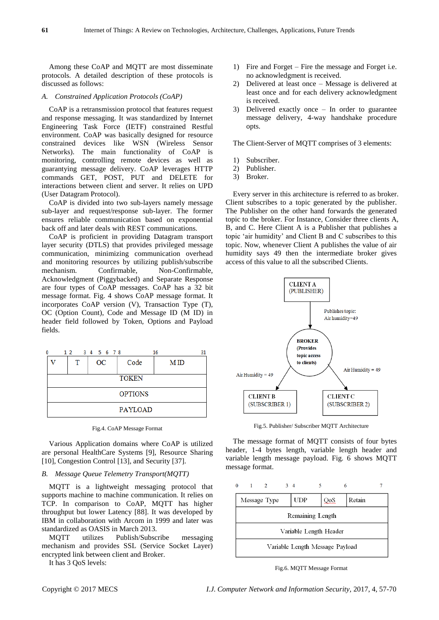Among these CoAP and MQTT are most disseminate protocols. A detailed description of these protocols is discussed as follows:

#### *A. Constrained Application Protocols (CoAP)*

CoAP is a retransmission protocol that features request and response messaging. It was standardized by Internet Engineering Task Force (IETF) constrained Restful environment. CoAP was basically designed for resource constrained devices like WSN (Wireless Sensor Networks). The main functionality of CoAP is monitoring, controlling remote devices as well as guarantying message delivery. CoAP leverages HTTP commands GET, POST, PUT and DELETE for interactions between client and server. It relies on UPD (User Datagram Protocol).

CoAP is divided into two sub-layers namely message sub-layer and request/response sub-layer. The former ensures reliable communication based on exponential back off and later deals with REST communications.

CoAP is proficient in providing Datagram transport layer security (DTLS) that provides privileged message communication, minimizing communication overhead and monitoring resources by utilizing publish/subscribe mechanism. Confirmable, Non-Confirmable, Acknowledgment (Piggybacked) and Separate Response are four types of CoAP messages. CoAP has a 32 bit message format. Fig. 4 shows CoAP message format. It incorporates CoAP version (V), Transaction Type (T), OC (Option Count), Code and Message ID (M ID) in header field followed by Token, Options and Payload fields.

| 0              |  |   | 1 2 3 4 5 6 7 8 |              | 16  | 31 |
|----------------|--|---|-----------------|--------------|-----|----|
|                |  | т | OC              | Code         | MID |    |
|                |  |   |                 | <b>TOKEN</b> |     |    |
| <b>OPTIONS</b> |  |   |                 |              |     |    |
| <b>PAYLOAD</b> |  |   |                 |              |     |    |

| Fig.4. CoAP Message Format |  |  |  |  |
|----------------------------|--|--|--|--|
|----------------------------|--|--|--|--|

Various Application domains where CoAP is utilized are personal HealthCare Systems [9], Resource Sharing [10], Congestion Control [13], and Security [37].

# *B. Message Queue Telemetry Transport(MQTT)*

MQTT is a lightweight messaging protocol that supports machine to machine communication. It relies on TCP. In comparison to CoAP, MQTT has higher throughput but lower Latency [88]. It was developed by IBM in collaboration with Arcom in 1999 and later was standardized as OASIS in March 2013.

MQTT utilizes Publish/Subscribe messaging mechanism and provides SSL (Service Socket Layer) encrypted link between client and Broker.

It has 3 QoS levels:

- 1) Fire and Forget Fire the message and Forget i.e. no acknowledgment is received.
- 2) Delivered at least once Message is delivered at least once and for each delivery acknowledgment is received.
- 3) Delivered exactly once In order to guarantee message delivery, 4-way handshake procedure opts.

The Client-Server of MQTT comprises of 3 elements:

- 1) Subscriber.
- 2) Publisher.
- 3) Broker.

Every server in this architecture is referred to as broker. Client subscribes to a topic generated by the publisher. The Publisher on the other hand forwards the generated topic to the broker. For Instance, Consider three clients A, B, and C. Here Client A is a Publisher that publishes a topic "air humidity" and Client B and C subscribes to this topic. Now, whenever Client A publishes the value of air humidity says 49 then the intermediate broker gives access of this value to all the subscribed Clients.



Fig.5. Publisher/ Subscriber MQTT Architecture

The message format of MQTT consists of four bytes header, 1-4 bytes length, variable length header and variable length message payload. Fig. 6 shows MQTT message format.



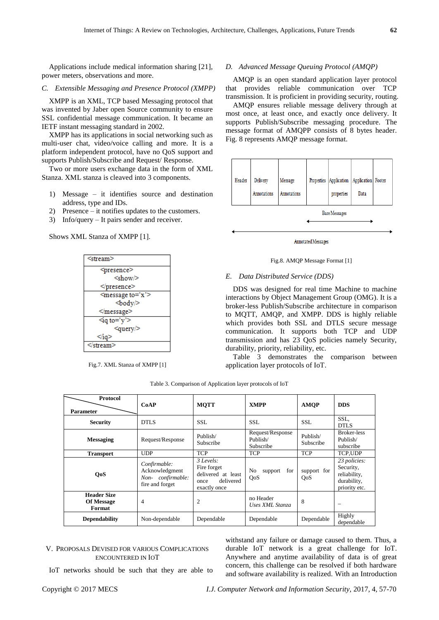Applications include medical information sharing [21], power meters, observations and more.

#### *C. Extensible Messaging and Presence Protocol (XMPP)*

XMPP is an XML, TCP based Messaging protocol that was invented by Jaber open Source community to ensure SSL confidential message communication. It became an IETF instant messaging standard in 2002.

XMPP has its applications in social networking such as multi-user chat, video/voice calling and more. It is a platform independent protocol, have no QoS support and supports Publish/Subscribe and Request/ Response.

Two or more users exchange data in the form of XML Stanza. XML stanza is cleaved into 3 components.

- 1) Message it identifies source and destination address, type and IDs.
- 2) Presence it notifies updates to the customers.
- 3) Info/query It pairs sender and receiver.

Shows XML Stanza of XMPP [1].



Fig.7. XML Stanza of XMPP [1]

# *D. Advanced Message Queuing Protocol (AMQP)*

AMQP is an open standard application layer protocol that provides reliable communication over TCP transmission. It is proficient in providing security, routing.

AMQP ensures reliable message delivery through at most once, at least once, and exactly once delivery. It supports Publish/Subscribe messaging procedure. The message format of AMQPP consists of 8 bytes header. Fig. 8 represents AMQP message format.



Annotated Messages

# Fig.8. AMQP Message Format [1]

#### *E. Data Distributed Service (DDS)*

DDS was designed for real time Machine to machine interactions by Object Management Group (OMG). It is a broker-less Publish/Subscribe architecture in comparison to MQTT, AMQP, and XMPP. DDS is highly reliable which provides both SSL and DTLS secure message communication. It supports both TCP and UDP transmission and has 23 QoS policies namely Security, durability, priority, reliability, etc.

Table 3 demonstrates the comparison between application layer protocols of IoT.

| <b>Protocol</b><br><b>Parameter</b>               | CoAP                                                                  | <b>MOTT</b>                                                                           | <b>XMPP</b>                               | <b>AMOP</b>           | <b>DDS</b>                                                                |
|---------------------------------------------------|-----------------------------------------------------------------------|---------------------------------------------------------------------------------------|-------------------------------------------|-----------------------|---------------------------------------------------------------------------|
| <b>Security</b>                                   | <b>DTLS</b>                                                           | <b>SSL</b>                                                                            | <b>SSL</b>                                | <b>SSL</b>            | SSL,<br><b>DTLS</b>                                                       |
| <b>Messaging</b>                                  | Request/Response                                                      | Publish/<br>Subscribe                                                                 | Request/Response<br>Publish/<br>Subscribe | Publish/<br>Subscribe | <b>Broker-less</b><br>Publish/<br>subscribe                               |
| <b>Transport</b>                                  | <b>UDP</b>                                                            | <b>TCP</b>                                                                            | <b>TCP</b>                                | <b>TCP</b>            | TCP.UDP                                                                   |
| <b>QoS</b>                                        | Confirmable:<br>Acknowledgment<br>Non-confirmable:<br>fire and forget | $3$ Levels:<br>Fire forget<br>delivered at least<br>delivered<br>once<br>exactly once | No<br>for<br>support<br>QoS               | support for<br>QoS    | 23 policies:<br>Security,<br>reliability,<br>durability,<br>priority etc. |
| <b>Header Size</b><br><b>Of Message</b><br>Format | $\overline{4}$                                                        | 2                                                                                     | no Header<br>Uses XML Stanza              | 8                     | -                                                                         |
| <b>Dependability</b>                              | Non-dependable                                                        | Dependable                                                                            | Dependable                                | Dependable            | Highly<br>dependable                                                      |

Table 3. Comparison of Application layer protocols of IoT

# V. PROPOSALS DEVISED FOR VARIOUS COMPLICATIONS ENCOUNTERED IN IOT

IoT networks should be such that they are able to

withstand any failure or damage caused to them. Thus, a durable IoT network is a great challenge for IoT. Anywhere and anytime availability of data is of great concern, this challenge can be resolved if both hardware and software availability is realized. With an Introduction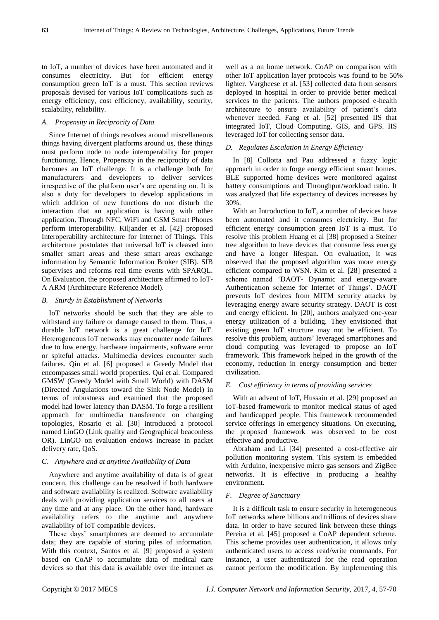to IoT, a number of devices have been automated and it consumes electricity. But for efficient energy consumption green IoT is a must. This section reviews proposals devised for various IoT complications such as energy efficiency, cost efficiency, availability, security, scalability, reliability.

# *A. Propensity in Reciprocity of Data*

Since Internet of things revolves around miscellaneous things having divergent platforms around us, these things must perform node to node interoperability for proper functioning. Hence, Propensity in the reciprocity of data becomes an IoT challenge. It is a challenge both for manufacturers and developers to deliver services irrespective of the platform user's are operating on. It is also a duty for developers to develop applications in which addition of new functions do not disturb the interaction that an application is having with other application. Through NFC, WiFi and GSM Smart Phones perform interoperability. Kiljander et al. [42] proposed Interoperability architecture for Internet of Things. This architecture postulates that universal IoT is cleaved into smaller smart areas and these smart areas exchange information by Semantic Information Broker (SIB). SIB supervises and reforms real time events with SPARQL. On Evaluation, the proposed architecture affirmed to IoT-A ARM (Architecture Reference Model).

## *B. Sturdy in Establishment of Networks*

IoT networks should be such that they are able to withstand any failure or damage caused to them. Thus, a durable IoT network is a great challenge for IoT. Heterogeneous IoT networks may encounter node failures due to low energy, hardware impairments, software error or spiteful attacks. Multimedia devices encounter such failures. Qiu et al. [6] proposed a Greedy Model that encompasses small world properties. Qui et al. Compared GMSW (Greedy Model with Small World) with DASM (Directed Angulations toward the Sink Node Model) in terms of robustness and examined that the proposed model had lower latency than DASM. To forge a resilient approach for multimedia transference on changing topologies, Rosario et al. [30] introduced a protocol named LinGO (Link quality and Geographical beaconless OR). LinGO on evaluation endows increase in packet delivery rate, QoS.

# *C. Anywhere and at anytime Availability of Data*

Anywhere and anytime availability of data is of great concern, this challenge can be resolved if both hardware and software availability is realized. Software availability deals with providing application services to all users at any time and at any place. On the other hand, hardware availability refers to the anytime and anywhere availability of IoT compatible devices.

These days" smartphones are deemed to accumulate data; they are capable of storing piles of information. With this context, Santos et al. [9] proposed a system based on CoAP to accumulate data of medical care devices so that this data is available over the internet as well as a on home network. CoAP on comparison with other IoT application layer protocols was found to be 50% lighter. Vargheese et al. [53] collected data from sensors deployed in hospital in order to provide better medical services to the patients. The authors proposed e-health architecture to ensure availability of patient's data whenever needed. Fang et al. [52] presented IIS that integrated IoT, Cloud Computing, GIS, and GPS. IIS leveraged IoT for collecting sensor data.

# *D. Regulates Escalation in Energy Efficiency*

In [8] Collotta and Pau addressed a fuzzy logic approach in order to forge energy efficient smart homes. BLE supported home devices were monitored against battery consumptions and Throughput/workload ratio. It was analyzed that life expectancy of devices increases by 30%.

With an Introduction to IoT, a number of devices have been automated and it consumes electricity. But for efficient energy consumption green IoT is a must. To resolve this problem Huang et al [38] proposed a Steiner tree algorithm to have devices that consume less energy and have a longer lifespan. On evaluation, it was observed that the proposed algorithm was more energy efficient compared to WSN. Kim et al. [28] presented a scheme named "DAOT- Dynamic and energy-aware Authentication scheme for Internet of Things'. DAOT prevents IoT devices from MITM security attacks by leveraging energy aware security strategy. DAOT is cost and energy efficient. In [20], authors analyzed one-year energy utilization of a building. They envisioned that existing green IoT structure may not be efficient. To resolve this problem, authors" leveraged smartphones and cloud computing was leveraged to propose an IoT framework. This framework helped in the growth of the economy, reduction in energy consumption and better civilization.

#### *E. Cost efficiency in terms of providing services*

With an advent of IoT, Hussain et al. [29] proposed an IoT-based framework to monitor medical status of aged and handicapped people. This framework recommended service offerings in emergency situations. On executing, the proposed framework was observed to be cost effective and productive.

Abraham and Li [34] presented a cost-effective air pollution monitoring system. This system is embedded with Arduino, inexpensive micro gas sensors and ZigBee networks. It is effective in producing a healthy environment.

# *F. Degree of Sanctuary*

It is a difficult task to ensure security in heterogeneous IoT networks where billions and trillions of devices share data. In order to have secured link between these things Pereira et al. [45] proposed a CoAP dependent scheme. This scheme provides user authentication, it allows only authenticated users to access read/write commands. For instance, a user authenticated for the read operation cannot perform the modification. By implementing this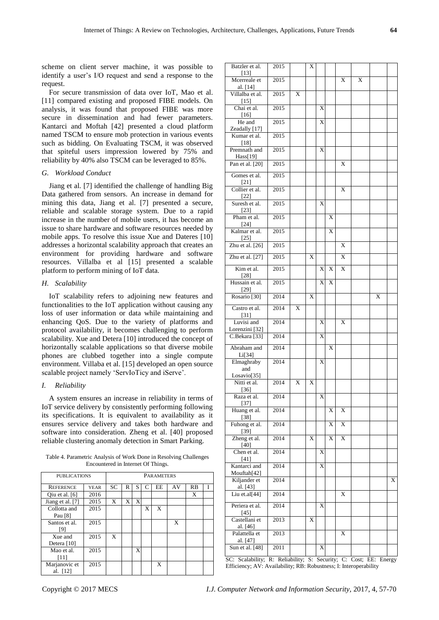scheme on client server machine, it was possible to identify a user"s I/O request and send a response to the request.

For secure transmission of data over IoT, Mao et al. [11] compared existing and proposed FIBE models. On analysis, it was found that proposed FIBE was more secure in dissemination and had fewer parameters. Kantarci and Moftah [42] presented a cloud platform named TSCM to ensure mob protection in various events such as bidding. On Evaluating TSCM, it was observed that spiteful users impression lowered by 75% and reliability by 40% also TSCM can be leveraged to 85%.

### *G. Workload Conduct*

Jiang et al. [7] identified the challenge of handling Big Data gathered from sensors. An increase in demand for mining this data, Jiang et al. [7] presented a secure, reliable and scalable storage system. Due to a rapid increase in the number of mobile users, it has become an issue to share hardware and software resources needed by mobile apps. To resolve this issue Xue and Dateres [10] addresses a horizontal scalability approach that creates an environment for providing hardware and software resources. Villalba et al [15] presented a scalable platform to perform mining of IoT data.

## *H. Scalability*

IoT scalability refers to adjoining new features and functionalities to the IoT application without causing any loss of user information or data while maintaining and enhancing QoS. Due to the variety of platforms and protocol availability, it becomes challenging to perform scalability. Xue and Detera [10] introduced the concept of horizontally scalable applications so that diverse mobile phones are clubbed together into a single compute environment. Villaba et al. [15] developed an open source scalable project namely "ServIoTicy and iServe".

# *I. Reliability*

A system ensures an increase in reliability in terms of IoT service delivery by consistently performing following its specifications. It is equivalent to availability as it ensures service delivery and takes both hardware and software into consideration. Zheng et al. [40] proposed reliable clustering anomaly detection in Smart Parking.

Table 4. Parametric Analysis of Work Done in Resolving Challenges Encountered in Internet Of Things.

| <b>PUBLICATIONS</b> |             | <b>PARAMETERS</b> |   |   |   |    |    |           |   |
|---------------------|-------------|-------------------|---|---|---|----|----|-----------|---|
| <b>REFERENCE</b>    | <b>YEAR</b> | <b>SC</b>         | R | S | C | EE | AV | <b>RB</b> | Ι |
| Qiu et al. $[6]$    | 2016        |                   |   |   |   |    |    | X         |   |
| Jiang et al. [7]    | 2015        | X                 | X | X |   |    |    |           |   |
| Collotta and        | 2015        |                   |   |   | X | X  |    |           |   |
| Pau [8]             |             |                   |   |   |   |    |    |           |   |
| Santos et al.       | 2015        |                   |   |   |   |    | X  |           |   |
| [9]                 |             |                   |   |   |   |    |    |           |   |
| Xue and             | 2015        | X                 |   |   |   |    |    |           |   |
| Detera [10]         |             |                   |   |   |   |    |    |           |   |
| Mao et al.          | 2015        |                   |   | X |   |    |    |           |   |
| [11]                |             |                   |   |   |   |    |    |           |   |
| Marjanovic et       | 2015        |                   |   |   |   | X  |    |           |   |
| al. [12]            |             |                   |   |   |   |    |    |           |   |

| $[13]$<br>Mcerreale et<br>2015<br>X<br>X<br>al. [14]<br>Villalba et al.<br>2015<br>X<br>$\frac{[15]}{\text{Chai et al.}}$<br>2015<br>X<br>$[16]$<br>He and<br>2015<br>X<br>Zeadally [17]<br>Kumar et al.<br>2015<br>[18]<br>Premnath and<br>2015<br>X<br>Hass[19]<br>Pan et al. [20]<br>$\sqrt{2015}$<br>X<br>Gomes et al.<br>2015<br>$[21]$<br>Collier et al.<br>2015<br>X<br>$[22]$<br>Suresh et al.<br>2015<br>X<br>$[23]$<br>Pham et al.<br>2015<br>X<br>$\frac{[24]}{Kalmar et al.}$<br>2015<br>X<br>[25]<br>Zhu et al. $[26]$<br>2015<br>X<br>Zhu et al. [27]<br>2015<br>X<br>X<br>Kim et al.<br>2015<br>X<br>X<br>X<br>[28]<br>Hussain et al.<br>2015<br>X<br>$\mathbf{x}$<br>[29]<br>Rosario <sup>[30]</sup><br>2014<br>X<br>X<br>Castro et al.<br>2014<br>X<br>$\lceil 31 \rceil$<br>Luvisi and<br>2014<br>X<br>X<br>Lorenzini [32]<br>C.Bekara <sup>[33]</sup><br>2014<br>X<br>Abraham and<br>2014<br>X<br>Li[34]<br>Elmaghraby<br>2014<br>X<br>and<br>Losavio[35]<br>Nitti et al.<br>X<br>2014<br>X<br>$[36]$<br>Raza et al.<br>X<br>2014<br>$[37]$<br>Huang et al.<br>2014<br>X<br>X<br>$[38]$<br>Fuhong et al.<br>2014<br>X<br>X<br>$\frac{[39]}{Zheng et al.}$<br>$\overline{\mathbf{X}}$<br>2014<br>X<br>X<br>[40]<br>Chen et al.<br>2014<br>X<br>$[41]$<br>Kantarci and<br>2014<br>X<br>Mouftah[42]<br>Kiljander et<br>2014<br>X<br>al. [43]<br>Liu et.al[44]<br>2014<br>X<br>Periera et al.<br>2014<br>X<br>[45]<br>Castellani et<br>2013<br>X<br>al. [46]<br>Palattella et<br>2013<br>X<br>al. [47]<br>Sun et al. [48]<br>2011<br>X | Batzler et al. | 2015 | X |  |  |  |
|-------------------------------------------------------------------------------------------------------------------------------------------------------------------------------------------------------------------------------------------------------------------------------------------------------------------------------------------------------------------------------------------------------------------------------------------------------------------------------------------------------------------------------------------------------------------------------------------------------------------------------------------------------------------------------------------------------------------------------------------------------------------------------------------------------------------------------------------------------------------------------------------------------------------------------------------------------------------------------------------------------------------------------------------------------------------------------------------------------------------------------------------------------------------------------------------------------------------------------------------------------------------------------------------------------------------------------------------------------------------------------------------------------------------------------------------------------------------------------------------------------------------------------------------------------|----------------|------|---|--|--|--|
|                                                                                                                                                                                                                                                                                                                                                                                                                                                                                                                                                                                                                                                                                                                                                                                                                                                                                                                                                                                                                                                                                                                                                                                                                                                                                                                                                                                                                                                                                                                                                       |                |      |   |  |  |  |
|                                                                                                                                                                                                                                                                                                                                                                                                                                                                                                                                                                                                                                                                                                                                                                                                                                                                                                                                                                                                                                                                                                                                                                                                                                                                                                                                                                                                                                                                                                                                                       |                |      |   |  |  |  |
|                                                                                                                                                                                                                                                                                                                                                                                                                                                                                                                                                                                                                                                                                                                                                                                                                                                                                                                                                                                                                                                                                                                                                                                                                                                                                                                                                                                                                                                                                                                                                       |                |      |   |  |  |  |
|                                                                                                                                                                                                                                                                                                                                                                                                                                                                                                                                                                                                                                                                                                                                                                                                                                                                                                                                                                                                                                                                                                                                                                                                                                                                                                                                                                                                                                                                                                                                                       |                |      |   |  |  |  |
|                                                                                                                                                                                                                                                                                                                                                                                                                                                                                                                                                                                                                                                                                                                                                                                                                                                                                                                                                                                                                                                                                                                                                                                                                                                                                                                                                                                                                                                                                                                                                       |                |      |   |  |  |  |
|                                                                                                                                                                                                                                                                                                                                                                                                                                                                                                                                                                                                                                                                                                                                                                                                                                                                                                                                                                                                                                                                                                                                                                                                                                                                                                                                                                                                                                                                                                                                                       |                |      |   |  |  |  |
|                                                                                                                                                                                                                                                                                                                                                                                                                                                                                                                                                                                                                                                                                                                                                                                                                                                                                                                                                                                                                                                                                                                                                                                                                                                                                                                                                                                                                                                                                                                                                       |                |      |   |  |  |  |
|                                                                                                                                                                                                                                                                                                                                                                                                                                                                                                                                                                                                                                                                                                                                                                                                                                                                                                                                                                                                                                                                                                                                                                                                                                                                                                                                                                                                                                                                                                                                                       |                |      |   |  |  |  |
|                                                                                                                                                                                                                                                                                                                                                                                                                                                                                                                                                                                                                                                                                                                                                                                                                                                                                                                                                                                                                                                                                                                                                                                                                                                                                                                                                                                                                                                                                                                                                       |                |      |   |  |  |  |
|                                                                                                                                                                                                                                                                                                                                                                                                                                                                                                                                                                                                                                                                                                                                                                                                                                                                                                                                                                                                                                                                                                                                                                                                                                                                                                                                                                                                                                                                                                                                                       |                |      |   |  |  |  |
|                                                                                                                                                                                                                                                                                                                                                                                                                                                                                                                                                                                                                                                                                                                                                                                                                                                                                                                                                                                                                                                                                                                                                                                                                                                                                                                                                                                                                                                                                                                                                       |                |      |   |  |  |  |
|                                                                                                                                                                                                                                                                                                                                                                                                                                                                                                                                                                                                                                                                                                                                                                                                                                                                                                                                                                                                                                                                                                                                                                                                                                                                                                                                                                                                                                                                                                                                                       |                |      |   |  |  |  |
|                                                                                                                                                                                                                                                                                                                                                                                                                                                                                                                                                                                                                                                                                                                                                                                                                                                                                                                                                                                                                                                                                                                                                                                                                                                                                                                                                                                                                                                                                                                                                       |                |      |   |  |  |  |
|                                                                                                                                                                                                                                                                                                                                                                                                                                                                                                                                                                                                                                                                                                                                                                                                                                                                                                                                                                                                                                                                                                                                                                                                                                                                                                                                                                                                                                                                                                                                                       |                |      |   |  |  |  |
|                                                                                                                                                                                                                                                                                                                                                                                                                                                                                                                                                                                                                                                                                                                                                                                                                                                                                                                                                                                                                                                                                                                                                                                                                                                                                                                                                                                                                                                                                                                                                       |                |      |   |  |  |  |
|                                                                                                                                                                                                                                                                                                                                                                                                                                                                                                                                                                                                                                                                                                                                                                                                                                                                                                                                                                                                                                                                                                                                                                                                                                                                                                                                                                                                                                                                                                                                                       |                |      |   |  |  |  |
|                                                                                                                                                                                                                                                                                                                                                                                                                                                                                                                                                                                                                                                                                                                                                                                                                                                                                                                                                                                                                                                                                                                                                                                                                                                                                                                                                                                                                                                                                                                                                       |                |      |   |  |  |  |
|                                                                                                                                                                                                                                                                                                                                                                                                                                                                                                                                                                                                                                                                                                                                                                                                                                                                                                                                                                                                                                                                                                                                                                                                                                                                                                                                                                                                                                                                                                                                                       |                |      |   |  |  |  |
|                                                                                                                                                                                                                                                                                                                                                                                                                                                                                                                                                                                                                                                                                                                                                                                                                                                                                                                                                                                                                                                                                                                                                                                                                                                                                                                                                                                                                                                                                                                                                       |                |      |   |  |  |  |
|                                                                                                                                                                                                                                                                                                                                                                                                                                                                                                                                                                                                                                                                                                                                                                                                                                                                                                                                                                                                                                                                                                                                                                                                                                                                                                                                                                                                                                                                                                                                                       |                |      |   |  |  |  |
|                                                                                                                                                                                                                                                                                                                                                                                                                                                                                                                                                                                                                                                                                                                                                                                                                                                                                                                                                                                                                                                                                                                                                                                                                                                                                                                                                                                                                                                                                                                                                       |                |      |   |  |  |  |
|                                                                                                                                                                                                                                                                                                                                                                                                                                                                                                                                                                                                                                                                                                                                                                                                                                                                                                                                                                                                                                                                                                                                                                                                                                                                                                                                                                                                                                                                                                                                                       |                |      |   |  |  |  |
|                                                                                                                                                                                                                                                                                                                                                                                                                                                                                                                                                                                                                                                                                                                                                                                                                                                                                                                                                                                                                                                                                                                                                                                                                                                                                                                                                                                                                                                                                                                                                       |                |      |   |  |  |  |
|                                                                                                                                                                                                                                                                                                                                                                                                                                                                                                                                                                                                                                                                                                                                                                                                                                                                                                                                                                                                                                                                                                                                                                                                                                                                                                                                                                                                                                                                                                                                                       |                |      |   |  |  |  |
|                                                                                                                                                                                                                                                                                                                                                                                                                                                                                                                                                                                                                                                                                                                                                                                                                                                                                                                                                                                                                                                                                                                                                                                                                                                                                                                                                                                                                                                                                                                                                       |                |      |   |  |  |  |
|                                                                                                                                                                                                                                                                                                                                                                                                                                                                                                                                                                                                                                                                                                                                                                                                                                                                                                                                                                                                                                                                                                                                                                                                                                                                                                                                                                                                                                                                                                                                                       |                |      |   |  |  |  |
|                                                                                                                                                                                                                                                                                                                                                                                                                                                                                                                                                                                                                                                                                                                                                                                                                                                                                                                                                                                                                                                                                                                                                                                                                                                                                                                                                                                                                                                                                                                                                       |                |      |   |  |  |  |
|                                                                                                                                                                                                                                                                                                                                                                                                                                                                                                                                                                                                                                                                                                                                                                                                                                                                                                                                                                                                                                                                                                                                                                                                                                                                                                                                                                                                                                                                                                                                                       |                |      |   |  |  |  |
|                                                                                                                                                                                                                                                                                                                                                                                                                                                                                                                                                                                                                                                                                                                                                                                                                                                                                                                                                                                                                                                                                                                                                                                                                                                                                                                                                                                                                                                                                                                                                       |                |      |   |  |  |  |
|                                                                                                                                                                                                                                                                                                                                                                                                                                                                                                                                                                                                                                                                                                                                                                                                                                                                                                                                                                                                                                                                                                                                                                                                                                                                                                                                                                                                                                                                                                                                                       |                |      |   |  |  |  |
|                                                                                                                                                                                                                                                                                                                                                                                                                                                                                                                                                                                                                                                                                                                                                                                                                                                                                                                                                                                                                                                                                                                                                                                                                                                                                                                                                                                                                                                                                                                                                       |                |      |   |  |  |  |
|                                                                                                                                                                                                                                                                                                                                                                                                                                                                                                                                                                                                                                                                                                                                                                                                                                                                                                                                                                                                                                                                                                                                                                                                                                                                                                                                                                                                                                                                                                                                                       |                |      |   |  |  |  |
|                                                                                                                                                                                                                                                                                                                                                                                                                                                                                                                                                                                                                                                                                                                                                                                                                                                                                                                                                                                                                                                                                                                                                                                                                                                                                                                                                                                                                                                                                                                                                       |                |      |   |  |  |  |
|                                                                                                                                                                                                                                                                                                                                                                                                                                                                                                                                                                                                                                                                                                                                                                                                                                                                                                                                                                                                                                                                                                                                                                                                                                                                                                                                                                                                                                                                                                                                                       |                |      |   |  |  |  |
|                                                                                                                                                                                                                                                                                                                                                                                                                                                                                                                                                                                                                                                                                                                                                                                                                                                                                                                                                                                                                                                                                                                                                                                                                                                                                                                                                                                                                                                                                                                                                       |                |      |   |  |  |  |
| SC: Scalability: D. Deliability: S. Security: C. Cost: EE: Energy                                                                                                                                                                                                                                                                                                                                                                                                                                                                                                                                                                                                                                                                                                                                                                                                                                                                                                                                                                                                                                                                                                                                                                                                                                                                                                                                                                                                                                                                                     |                |      |   |  |  |  |

Scalability; R: Reliability; S: Security; C: Cost; EE: Energy Efficiency; AV: Availability; RB: Robustness; I: Interoperability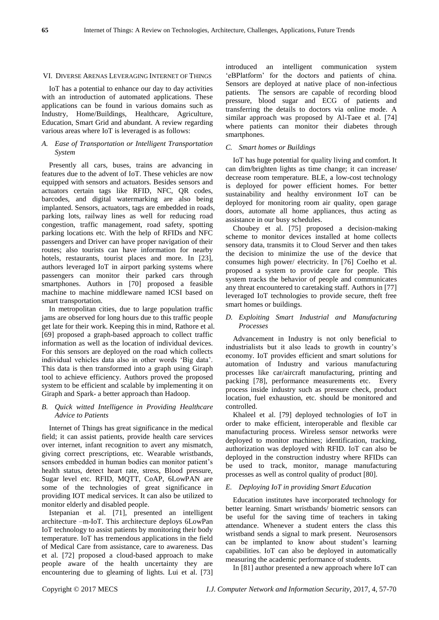#### VI. DIVERSE ARENAS LEVERAGING INTERNET OF THINGS

IoT has a potential to enhance our day to day activities with an introduction of automated applications. These applications can be found in various domains such as Industry, Home/Buildings, Healthcare, Agriculture, Education, Smart Grid and abundant. A review regarding various areas where IoT is leveraged is as follows:

# *A. Ease of Transportation or Intelligent Transportation System*

Presently all cars, buses, trains are advancing in features due to the advent of IoT. These vehicles are now equipped with sensors and actuators. Besides sensors and actuators certain tags like RFID, NFC, QR codes, barcodes, and digital watermarking are also being implanted. Sensors, actuators, tags are embedded in roads, parking lots, railway lines as well for reducing road congestion, traffic management, road safety, spotting parking locations etc. With the help of RFIDs and NFC passengers and Driver can have proper navigation of their routes; also tourists can have information for nearby hotels, restaurants, tourist places and more. In [23], authors leveraged IoT in airport parking systems where passengers can monitor their parked cars through smartphones. Authors in [70] proposed a feasible machine to machine middleware named ICSI based on smart transportation.

In metropolitan cities, due to large population traffic jams are observed for long hours due to this traffic people get late for their work. Keeping this in mind, Rathore et al. [69] proposed a graph-based approach to collect traffic information as well as the location of individual devices. For this sensors are deployed on the road which collects individual vehicles data also in other words "Big data". This data is then transformed into a graph using Giraph tool to achieve efficiency. Authors proved the proposed system to be efficient and scalable by implementing it on Giraph and Spark- a better approach than Hadoop.

# *B. Quick witted Intelligence in Providing Healthcare Advice to Patients*

Internet of Things has great significance in the medical field; it can assist patients, provide health care services over internet, infant recognition to avert any mismatch, giving correct prescriptions, etc. Wearable wristbands, sensors embedded in human bodies can monitor patient"s health status, detect heart rate, stress, Blood pressure, Sugar level etc. RFID, MQTT, CoAP, 6LowPAN are some of the technologies of great significance in providing IOT medical services. It can also be utilized to monitor elderly and disabled people.

Istepanian et al. [71], presented an intelligent architecture –m-IoT. This architecture deploys 6LowPan IoT technology to assist patients by monitoring their body temperature. IoT has tremendous applications in the field of Medical Care from assistance, care to awareness. Das et al. [72] proposed a cloud-based approach to make people aware of the health uncertainty they are encountering due to gleaming of lights. Lui et al. [73]

introduced an intelligent communication system "eBPlatform" for the doctors and patients of china. Sensors are deployed at native place of non-infectious patients. The sensors are capable of recording blood pressure, blood sugar and ECG of patients and transferring the details to doctors via online mode. A similar approach was proposed by Al-Taee et al. [74] where patients can monitor their diabetes through smartphones.

# *C. Smart homes or Buildings*

IoT has huge potential for quality living and comfort. It can dim/brighten lights as time change; it can increase/ decrease room temperature. BLE, a low-cost technology is deployed for power efficient homes. For better sustainability and healthy environment IoT can be deployed for monitoring room air quality, open garage doors, automate all home appliances, thus acting as assistance in our busy schedules.

Choubey et al. [75] proposed a decision-making scheme to monitor devices installed at home collects sensory data, transmits it to Cloud Server and then takes the decision to minimize the use of the device that consumes high power/ electricity. In [76] Coelho et al. proposed a system to provide care for people. This system tracks the behavior of people and communicates any threat encountered to caretaking staff. Authors in [77] leveraged IoT technologies to provide secure, theft free smart homes or buildings.

# *D. Exploiting Smart Industrial and Manufacturing Processes*

Advancement in Industry is not only beneficial to industrialists but it also leads to growth in country"s economy. IoT provides efficient and smart solutions for automation of Industry and various manufacturing processes like car/aircraft manufacturing, printing and packing [78], performance measurements etc. Every process inside industry such as pressure check, product location, fuel exhaustion, etc. should be monitored and controlled.

Khaleel et al. [79] deployed technologies of IoT in order to make efficient, interoperable and flexible car manufacturing process. Wireless sensor networks were deployed to monitor machines; identification, tracking, authorization was deployed with RFID. IoT can also be deployed in the construction industry where RFIDs can be used to track, monitor, manage manufacturing processes as well as control quality of product [80].

#### *E. Deploying IoT in providing Smart Education*

Education institutes have incorporated technology for better learning. Smart wristbands/ biometric sensors can be useful for the saving time of teachers in taking attendance. Whenever a student enters the class this wristband sends a signal to mark present. Neurosensors can be implanted to know about student"s learning capabilities. IoT can also be deployed in automatically measuring the academic performance of students.

In [81] author presented a new approach where IoT can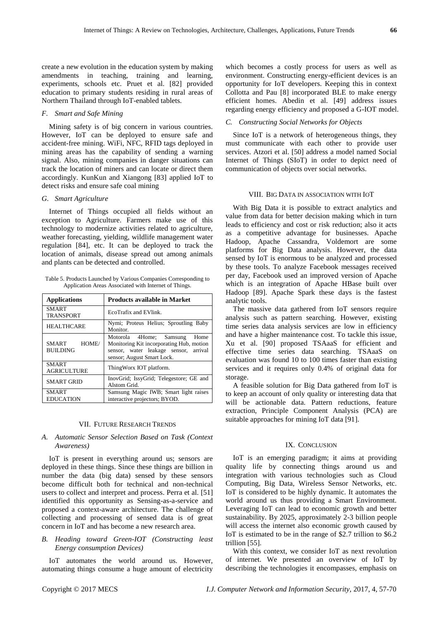create a new evolution in the education system by making amendments in teaching, training and learning, experiments, schools etc. Pruet et al. [82] provided education to primary students residing in rural areas of Northern Thailand through IoT-enabled tablets.

# *F. Smart and Safe Mining*

Mining safety is of big concern in various countries. However, IoT can be deployed to ensure safe and accident-free mining. WiFi, NFC, RFID tags deployed in mining areas has the capability of sending a warning signal. Also, mining companies in danger situations can track the location of miners and can locate or direct them accordingly. KunKun and Xiangong [83] applied IoT to detect risks and ensure safe coal mining

# *G. Smart Agriculture*

Internet of Things occupied all fields without an exception to Agriculture. Farmers make use of this technology to modernize activities related to agriculture, weather forecasting, yielding, wildlife management water regulation [84], etc. It can be deployed to track the location of animals, disease spread out among animals and plants can be detected and controlled.

Table 5. Products Launched by Various Companies Corresponding to Application Areas Associated with Internet of Things.

| <b>Applications</b>                | <b>Products available in Market</b>                                                                                                                |
|------------------------------------|----------------------------------------------------------------------------------------------------------------------------------------------------|
| <b>SMART</b><br><b>TRANSPORT</b>   | EcoTrafix and EVlink.                                                                                                                              |
| <b>HEALTHCARE</b>                  | Nymi; Proteus Helius; Sproutling Baby<br>Monitor.                                                                                                  |
| HOME/<br>SMART<br><b>BUILDING</b>  | Motorola 4Home; Samsung<br>Home<br>Monitoring Kit incorporating Hub, motion<br>sensor, water leakage sensor, arrival<br>sensor; August Smart Lock. |
| <b>SMART</b><br><b>AGRICULTURE</b> | ThingWorx IOT platform.                                                                                                                            |
| <b>SMART GRID</b>                  | InovGrid; IssyGrid; Telegestore; GE and<br>Alstom Grid.                                                                                            |
| <b>SMART</b><br><b>EDUCATION</b>   | Samsung Magic IWB; Smart light raises<br>interactive projectors; BYOD.                                                                             |

# VII. FUTURE RESEARCH TRENDS

# *A. Automatic Sensor Selection Based on Task (Context Awareness)*

IoT is present in everything around us; sensors are deployed in these things. Since these things are billion in number the data (big data) sensed by these sensors become difficult both for technical and non-technical users to collect and interpret and process. Perra et al. [51] identified this opportunity as Sensing-as-a-service and proposed a context-aware architecture. The challenge of collecting and processing of sensed data is of great concern in IoT and has become a new research area.

# *B. Heading toward Green-IOT (Constructing least Energy consumption Devices)*

IoT automates the world around us. However, automating things consume a huge amount of electricity which becomes a costly process for users as well as environment. Constructing energy-efficient devices is an opportunity for IoT developers. Keeping this in context Collotta and Pau [8] incorporated BLE to make energy efficient homes. Abedin et al. [49] address issues regarding energy efficiency and proposed a G-IOT model.

# *C. Constructing Social Networks for Objects*

Since IoT is a network of heterogeneous things, they must communicate with each other to provide user services. Atzori et al. [50] address a model named Social Internet of Things (SIoT) in order to depict need of communication of objects over social networks.

#### VIII. BIG DATA IN ASSOCIATION WITH IOT

With Big Data it is possible to extract analytics and value from data for better decision making which in turn leads to efficiency and cost or risk reduction; also it acts as a competitive advantage for businesses. Apache Hadoop, Apache Cassandra, Voldemort are some platforms for Big Data analysis. However, the data sensed by IoT is enormous to be analyzed and processed by these tools. To analyze Facebook messages received per day, Facebook used an improved version of Apache which is an integration of Apache HBase built over Hadoop [89]. Apache Spark these days is the fastest analytic tools.

The massive data gathered from IoT sensors require analysis such as pattern searching. However, existing time series data analysis services are low in efficiency and have a higher maintenance cost. To tackle this issue, Xu et al. [90] proposed TSAaaS for efficient and effective time series data searching. TSAaaS on evaluation was found 10 to 100 times faster than existing services and it requires only 0.4% of original data for storage.

A feasible solution for Big Data gathered from IoT is to keep an account of only quality or interesting data that will be actionable data. Pattern reductions, feature extraction, Principle Component Analysis (PCA) are suitable approaches for mining IoT data [91].

#### IX. CONCLUSION

IoT is an emerging paradigm; it aims at providing quality life by connecting things around us and integration with various technologies such as Cloud Computing, Big Data, Wireless Sensor Networks, etc. IoT is considered to be highly dynamic. It automates the world around us thus providing a Smart Environment. Leveraging IoT can lead to economic growth and better sustainability. By 2025, approximately 2-3 billion people will access the internet also economic growth caused by IoT is estimated to be in the range of \$2.7 trillion to \$6.2 trillion [55].

With this context, we consider IoT as next revolution of internet. We presented an overview of IoT by describing the technologies it encompasses, emphasis on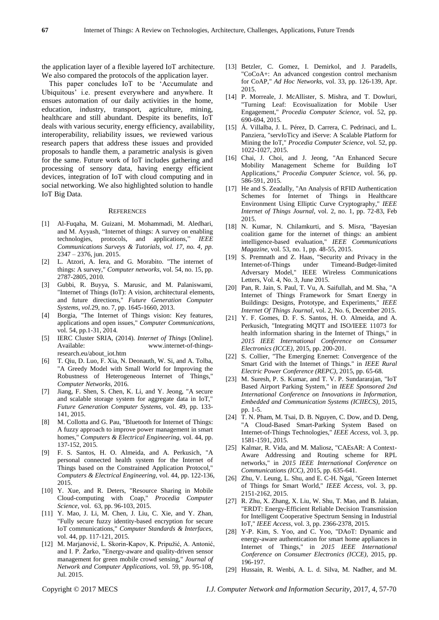the application layer of a flexible layered IoT architecture. We also compared the protocols of the application layer.

This paper concludes IoT to be "Accumulate and Ubiquitous" i.e. present everywhere and anywhere. It ensues automation of our daily activities in the home, education, industry, transport, agriculture, mining, healthcare and still abundant. Despite its benefits, IoT deals with various security, energy efficiency, availability, interoperability, reliability issues, we reviewed various research papers that address these issues and provided proposals to handle them, a parametric analysis is given for the same. Future work of IoT includes gathering and processing of sensory data, having energy efficient devices, integration of IoT with cloud computing and in social networking. We also highlighted solution to handle IoT Big Data.

#### **REFERENCES**

- [1] Al-Fuqaha, M. Guizani, M. Mohammadi, M. Aledhari, and M. Ayyash, "Internet of things: A survey on enabling technologies, protocols, and applications," *IEEE Communications Surveys & Tutorials, vol. 17, no. 4, pp.*  2347 – 2376, jun. 2015.
- [2] L. Atzori, A. Iera, and G. Morabito. "The internet of things: A survey," *Computer networks*, vol. 54, no. 15, pp. 2787-2805, 2010.
- [3] Gubbi, R. Buyya, S. Marusic, and M. Palaniswami, "Internet of Things (IoT): A vision, architectural elements, and future directions," *Future Generation Computer Systems, vol.*29, no. 7, pp. 1645-1660, 2013.
- [4] Borgia, "The Internet of Things vision: Key features, applications and open issues," *Computer Communications,*  vol. 54, pp.1-31, 2014.
- [5] IERC Cluster SRIA, (2014). *Internet of Things* [Online]. Available: www.internet-of-thingsresearch.eu/about\_iot.htm
- [6] T. Qiu, D. Luo, F. Xia, N. Deonauth, W. Si, and A. Tolba, "A Greedy Model with Small World for Improving the Robustness of Heterogeneous Internet of Things," *Computer Networks*, 2016.
- [7] Jiang, F. Shen, S. Chen, K. Li, and Y. Jeong, "A secure and scalable storage system for aggregate data in IoT," *Future Generation Computer Systems,* vol. 49, pp. 133- 141, 2015.
- [8] M. Collotta and G. Pau, "Bluetooth for Internet of Things: A fuzzy approach to improve power management in smart homes," *Computers & Electrical Engineering,* vol. 44, pp. 137-152, 2015.
- [9] F. S. Santos, H. O. Almeida, and A. Perkusich, "A personal connected health system for the Internet of Things based on the Constrained Application Protocol," *Computers & Electrical Engineering,* vol. 44, pp. 122-136, 2015.
- [10] Y. Xue, and R. Deters, "Resource Sharing in Mobile Cloud-computing with Coap," *Procedia Computer Science,* vol.63, pp. 96-103, 2015.
- [11] Y. Mao, J. Li, M. Chen, J. Liu, C. Xie, and Y. Zhan, "Fully secure fuzzy identity-based encryption for secure IoT communications," *Computer Standards & Interfaces,*  vol. 44, pp. 117-121, 2015.
- [12] M. Marjanović, L. Skorin-Kapov, K. Pripužić, A. Antonić, and I. P. Žarko, "Energy-aware and quality-driven sensor management for green mobile crowd sensing," *Journal of Network and Computer Applications,* vol. 59, pp. 95-108, Jul. 2015.
- [13] Betzler, C. Gomez, I. Demirkol, and J. Paradells, "CoCoA+: An advanced congestion control mechanism for CoAP," *Ad Hoc Networks,* vol. 33, pp. 126-139, Apr. 2015.
- [14] P. Morreale, J. McAllister, S. Mishra, and T. Dowluri, "Turning Leaf: Ecovisualization for Mobile User Engagement," *Procedia Computer Science,* vol. 52, pp. 690-694, 2015.
- [15] Á. Villalba, J. L. Pérez, D. Carrera, C. Pedrinaci, and L. Panziera, "servIoTicy and iServe: A Scalable Platform for Mining the IoT," *Procedia Computer Science,* vol*.* 52, pp. 1022-1027, 2015.
- [16] Chai, J. Choi, and J. Jeong, "An Enhanced Secure Mobility Management Scheme for Building IoT Applications," *Procedia Computer Science,* vol. 56, pp. 586-591, 2015.
- [17] He and S. Zeadally, "An Analysis of RFID Authentication Schemes for Internet of Things in Healthcare Environment Using Elliptic Curve Cryptography," *IEEE Internet of Things Journal,* vol. 2, no. 1, pp. 72-83, Feb 2015.
- [18] N. Kumar, N. Chilamkurti, and S. Misra, "Bayesian coalition game for the internet of things: an ambient intelligence-based evaluation," *IEEE Communications Magazine,* vol. 53, no. 1, pp. 48-55, 2015.
- [19] S. Premnath and Z. Haas, "Security and Privacy in the Internet-of-Things under Timeand-Budget-limited Adversary Model," IEEE Wireless Communications Letters, Vol. 4, No. 3, June 2015.
- [20] Pan, R. Jain, S. Paul, T. Vu, A. Saifullah, and M. Sha, "A Internet of Things Framework for Smart Energy in Buildings: Designs, Prototype, and Experiments," *IEEE Internet Of Things Journal*, vol. 2, No. 6, December 2015.
- [21] Y. F. Gomes, D. F. S. Santos, H. O. Almeida, and A. Perkusich, "Integrating MQTT and ISO/IEEE 11073 for health information sharing in the Internet of Things," in *2015 IEEE International Conference on Consumer Electronics (ICCE),* 2015, pp. 200-201.
- [22] S. Collier, "The Emerging Enernet: Convergence of the Smart Grid with the Internet of Things." in *IEEE Rural Electric Power Conference (REPC),* 2015, pp. 65-68.
- [23] M. Suresh, P. S. Kumar, and T. V. P. Sundararajan, "IoT Based Airport Parking System," in *IEEE Sponsored 2nd International Conference on Innovations in Information, Embedded and Communication Systems (ICIIECS),* 2015*,* pp. 1-5.
- [24] T. N. Pham, M. Tsai, D. B. Nguyen, C. Dow, and D. Deng, "A Cloud-Based Smart-Parking System Based on Internet-of-Things Technologies," *IEEE Access,* vol. 3, pp. 1581-1591, 2015.
- [25] Kalmar, R. Vida, and M. Maliosz, "CAEsAR: A Context-Aware Addressing and Routing scheme for RPL networks," in *2015 IEEE International Conference on Communications (ICC),* 2015, pp. 635-641.
- [26] Zhu, V. Leung, L. Shu, and E. C-H. Ngai, "Green Internet of Things for Smart World," *IEEE Access,* vol. 3, pp. 2151-2162, 2015.
- [27] R. Zhu, X. Zhang, X. Liu, W. Shu, T. Mao, and B. Jalaian, "ERDT: Energy-Efficient Reliable Decision Transmission for Intelligent Cooperative Spectrum Sensing in Industrial IoT," *IEEE Access,* vol. 3, pp. 2366-2378, 2015.
- [28] Y-P. Kim, S. Yoo, and C. Yoo, "DAoT: Dynamic and energy-aware authentication for smart home appliances in Internet of Things," in *2015 IEEE International Conference on Consumer Electronics (ICCE),* 2015, pp. 196-197.
- [29] Hussain, R. Wenbi, A. L. d. Silva, M. Nadher, and M.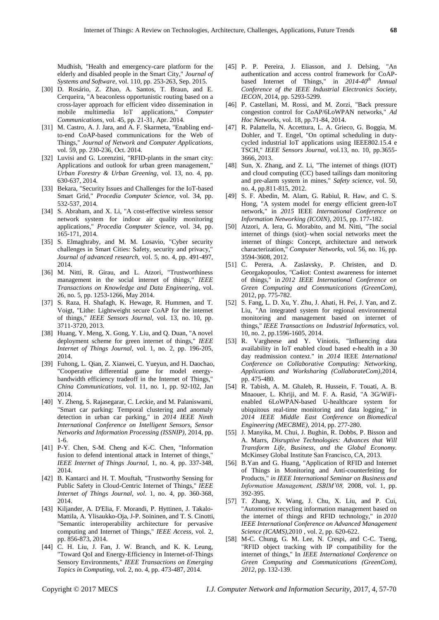Mudhish, "Health and emergency-care platform for the elderly and disabled people in the Smart City," *Journal of Systems and Software,* vol. 110, pp. 253-263, Sep. 2015.

- [30] D. Rosário, Z. Zhao, A. Santos, T. Braun, and E. Cerqueira, "A beaconless opportunistic routing based on a cross-layer approach for efficient video dissemination in mobile multimedia IoT applications," *Computer Communications,* vol. 45, pp. 21-31, Apr. 2014.
- [31] M. Castro, A. J. Jara, and A. F. Skarmeta, "Enabling endto-end CoAP-based communications for the Web of Things," *Journal of Network and Computer Applications,*  vol. 59, pp. 230-236, Oct. 2014.
- [32] Luvisi and G. Lorenzini, "RFID-plants in the smart city: Applications and outlook for urban green management," *Urban Forestry & Urban Greening,* vol. 13, no. 4, pp. 630-637, 2014.
- [33] Bekara, "Security Issues and Challenges for the IoT-based Smart Grid," *Procedia Computer Science,* vol. 34, pp. 532-537, 2014.
- [34] S. Abraham, and X. Li, "A cost-effective wireless sensor network system for indoor air quality monitoring applications," *Procedia Computer Science,* vol. 34, pp. 165-171, 2014.
- [35] S. Elmaghraby, and M. M. Losavio, "Cyber security challenges in Smart Cities: Safety, security and privacy," *Journal of advanced research,* vol. 5, no. 4, pp. 491-497, 2014.
- [36] M. Nitti, R. Girau, and L. Atzori, "Trustworthiness management in the social internet of things," *IEEE Transactions on Knowledge and Data Engineering,* vol. 26, no. 5, pp. 1253-1266, May 2014.
- [37] S. Raza, H. Shafagh, K. Hewage, R. Hummen, and T. Voigt, "Lithe: Lightweight secure CoAP for the internet of things," *IEEE Sensors Journal,* vol. 13, no. 10, pp. 3711-3720, 2013.
- [38] Huang, Y. Meng, X. Gong, Y. Liu, and Q. Duan, "A novel deployment scheme for green internet of things," *IEEE Internet of Things Journal,* vol. 1, no. 2, pp. 196-205, 2014.
- [39] Fuhong, L. Qian, Z. Xianwei, C. Yueyun, and H. Daochao, "Cooperative differential game for model energybandwidth efficiency tradeoff in the Internet of Things, *China Communications,* vol. 11, no. 1, pp. 92-102, Jan 2014.
- [40] Y. Zheng, S. Rajasegarar, C. Leckie, and M. Palaniswami, "Smart car parking: Temporal clustering and anomaly detection in urban car parking," in *2014 IEEE Ninth International Conference on Intelligent Sensors, Sensor Networks and Information Processing (ISSNIP),* 2014, pp. 1-6.
- [41] P-Y. Chen, S-M. Cheng and K-C. Chen, "Information fusion to defend intentional attack in Internet of things," *IEEE Internet of Things Journal,* 1, no. 4, pp. 337-348, 2014.
- [42] B. Kantarci and H. T. Mouftah, "Trustworthy Sensing for Public Safety in Cloud-Centric Internet of Things," *IEEE Internet of Things Journal, vol.* 1, no. 4, pp. 360-368, 2014.
- [43] Kiljander, A. D'Elia, F. Morandi, P. Hyttinen, J. Takalo-Mattila, A. Ylisaukko-Oja, J-P. Soininen, and T. S. Cinotti, "Semantic interoperability architecture for pervasive computing and Internet of Things," *IEEE Access,* vol. 2, pp. 856-873, 2014.
- [44] C. H. Liu, J. Fan, J. W. Branch, and K. K. Leung, "Toward QoI and Energy-Efficiency in Internet-of-Things Sensory Environments," *IEEE Transactions on Emerging Topics in Computing,* vol. 2, no. 4, pp. 473-487, 2014.
- [45] P. P. Pereira, J. Eliasson, and J. Delsing, "An authentication and access control framework for CoAPbased Internet of Things," in *2014-40th Annual Conference of the IEEE Industrial Electronics Society, IECON*, 2014, pp. 5293-5299.
- [46] P. Castellani, M. Rossi, and M. Zorzi, "Back pressure congestion control for CoAP/6LoWPAN networks," *Ad Hoc Networks,* vol. 18, pp.71-84, 2014.
- [47] R. Palattella, N. Accettura, L. A. Grieco, G. Boggia, M. Dohler, and T. Engel, "On optimal scheduling in dutycycled industrial IoT applications using IEEE802.15.4 e TSCH," *IEEE Sensors Journal,* vol*.*13, no. 10, pp.3655- 3666, 2013.
- [48] Sun, X. Zhang, and Z. Li, "The internet of things (IOT) and cloud computing (CC) based tailings dam monitoring and pre-alarm system in mines," *Safety science,* vol. 50, no. 4, pp.811-815, 2012.
- [49] S. F. Abedin, M. Alam, G. Rabiul, R. Haw, and C. S. Hong, "A system model for energy efficient green-IoT network," in *2015* IEEE *International Conference on Information Networking (ICOIN)*, 2015, pp. 177-182.
- [50] Atzori, A. Iera, G. Morabito, and M. Nitti, "The social internet of things (siot)–when social networks meet the internet of things: Concept, architecture and network characterization," *Computer Networks,* vol. 56, no. 16, pp. 3594-3608, 2012.
- [51] C. Perera, A. Zaslavsky, P. Christen, and D. Georgakopoulos, "Ca4iot: Context awareness for internet of things," in *2012 IEEE International Conference on Green Computing and Communications (GreenCom),*  2012, pp. 775-782.
- [52] S. Fang, L. D. Xu, Y. Zhu, J. Ahati, H. Pei, J. Yan, and Z. Liu, "An integrated system for regional environmental monitoring and management based on internet of things," *IEEE Transactions on Industrial Informatics,* vol. 10, no. 2, pp.1596-1605, 2014.
- [53] R. Vargheese and Y. Viniotis, "Influencing data availability in IoT enabled cloud based e-health in a 30 day readmission context." in *2014* IEEE *International Conference on Collaborative Computing: Networking, Applications and Worksharing (CollaborateCom),*2014, pp. 475-480.
- [54] R. Tabish, A. M. Ghaleb, R. Hussein, F. Touati, A. B. Mnaouer, L. Khriji, and M. F. A. Rasid, "A 3G/WiFienabled 6LoWPAN-based U-healthcare system for ubiquitous real-time monitoring and data logging," in *2014 IEEE Middle East Conference on Biomedical Engineering (MECBME),* 2014, pp. 277-280.
- [55] J. Manyika, M. Chui, J. Bughin, R. Dobbs, P. Bisson and A. Marrs, *Disruptive Technologies: Advances that Will Transform Life, Business, and the Global Economy.*  McKinsey Global Institute San Francisco, CA, 2013.
- [56] B.Yan and G. Huang, "Application of RFID and Internet of Things in Monitoring and Anti-counterfeiting for Products," *in IEEE International Seminar on Business and Information Management, ISBIM'08,* 2008*,* vol. 1, pp. 392-395.
- [57] T. Zhang, X. Wang, J. Chu, X. Liu, and P. Cui, "Automotive recycling information management based on the internet of things and RFID technology," in *2010 IEEE International Conference on Advanced Management Science (ICAMS),*2010 , vol. 2, pp. 620-622.
- [58] M-C. Chung, G. M. Lee, N. Crespi, and C-C. Tseng, "RFID object tracking with IP compatibility for the internet of things," In *IEEE International Conference on Green Computing and Communications (GreenCom), 2012*, pp. 132-139.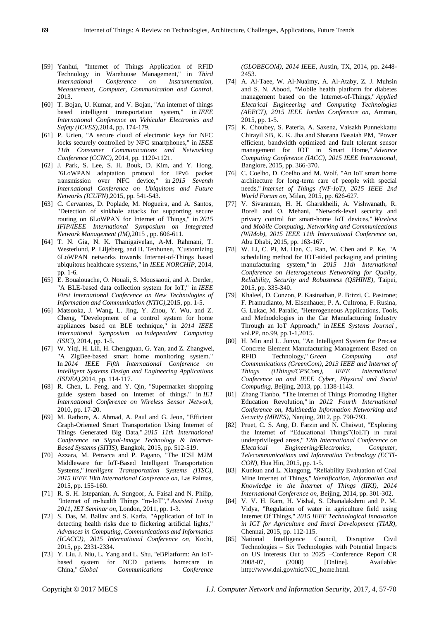- [59] Yanhui, "Internet of Things Application of RFID Technology in Warehouse Management," in *Third International Conference on Instrumentation, Measurement, Computer, Communication and Control*. 2013.
- [60] T. Bojan, U. Kumar, and V. Bojan, "An internet of things based intelligent transportation system," in *IEEE International Conference on Vehicular Electronics and Safety (ICVES),*2014, pp. 174-179.
- [61] P. Urien, "A secure cloud of electronic keys for NFC locks securely controlled by NFC smartphones," in *IEEE 11th Consumer Communications and Networking Conference (CCNC),* 2014, pp. 1120-1121.
- [62] J. Park, S. Lee, S. H. Bouk, D. Kim, and Y. Hong, "6LoWPAN adaptation protocol for IPv6 packet transmission over NFC device," in *2015 Seventh International Conference on Ubiquitous and Future Networks (ICUFN),*2015, pp. 541-543.
- [63] C. Cervantes, D. Poplade, M. Nogueira, and A. Santos, "Detection of sinkhole attacks for supporting secure routing on 6LoWPAN for Internet of Things," in *2015 IFIP/IEEE International Symposium on Integrated Network Management (IM),*2015 , pp. 606-611.
- [64] T. N. Gia, N. K. Thanigaivelan, A-M. Rahmani, T. Westerlund, P. Liljeberg, and H. Tenhunen, "Customizing 6LoWPAN networks towards Internet-of-Things based ubiquitous healthcare systems," in *IEEE NORCHIP,* 2014, pp. 1-6.
- [65] E. Boualouache, O. Nouali, S. Moussaoui, and A. Derder, "A BLE-based data collection system for IoT," in *IEEE First International Conference on New Technologies of Information and Communication (NTIC),*2015, pp. 1-5.
- [66] Matsuoka, J. Wang, L. Jing, Y. Zhou, Y. Wu, and Z. Cheng, "Development of a control system for home appliances based on BLE technique," in *2014 IEEE International Symposium on Independent Computing (ISIC),* 2014, pp. 1-5.
- [67] W. Yiqi, H. Lili, H. Chengquan, G. Yan, and Z. Zhangwei, "A ZigBee-based smart home monitoring system." In *2014 IEEE Fifth International Conference on Intelligent Systems Design and Engineering Applications (ISDEA)*,2014, pp. 114-117.
- [68] R. Chen, L. Peng, and Y. Qin, "Supermarket shopping guide system based on Internet of things." in *IET International Conference on Wireless Sensor Network,*  2010, pp. 17-20.
- [69] M. Rathore, A. Ahmad, A. Paul and G. Jeon, "Efficient Graph-Oriented Smart Transportation Using Internet of Things Generated Big Data," *2015 11th International Conference on Signal-Image Technology & Internet-Based Systems (SITIS)*, Bangkok, 2015, pp. 512-519.
- [70] Azzara, M. Petracca and P. Pagano, "The ICSI M2M Middleware for IoT-Based Intelligent Transportation Systems," *Intelligent Transportation Systems (ITSC), 2015 IEEE 18th International Conference on*, Las Palmas, 2015, pp. 155-160.
- [71] R. S. H. Istepanian, A. Sungoor, A. Faisal and N. Philip, "Internet of m-health Things "m-IoT"," *Assisted Living 2011, IET Seminar on*, London, 2011, pp. 1-3.
- [72] S. Das, M. Ballav and S. Karfa, "Application of IoT in detecting health risks due to flickering artificial lights," *Advances in Computing, Communications and Informatics (ICACCI), 2015 International Conference on*, Kochi, 2015, pp. 2331-2334.
- [73] Y. Liu, J. Niu, L. Yang and L. Shu, "eBPlatform: An IoTbased system for NCD patients homecare in China," *Global Communications Conference*

*(GLOBECOM), 2014 IEEE*, Austin, TX, 2014, pp. 2448- 2453.

- [74] A. Al-Taee, W. Al-Nuaimy, A. Al-Ataby, Z. J. Muhsin and S. N. Abood, "Mobile health platform for diabetes management based on the Internet-of-Things," *Applied Electrical Engineering and Computing Technologies (AEECT), 2015 IEEE Jordan Conference on*, Amman, 2015, pp. 1-5.
- [75] K. Choubey, S. Pateria, A. Saxena, Vaisakh Punnekkattu Chirayil SB, K. K. Jha and Sharana Basaiah PM, "Power efficient, bandwidth optimized and fault tolerant sensor management for IOT in Smart Home," *Advance Computing Conference (IACC), 2015 IEEE International*, Banglore, 2015, pp. 366-370.
- [76] C. Coelho, D. Coelho and M. Wolf, "An IoT smart home architecture for long-term care of people with special needs," *Internet of Things (WF-IoT), 2015 IEEE 2nd World Forum on*, Milan, 2015, pp. 626-627.
- [77] V. Sivaraman, H. H. Gharakheili, A. Vishwanath, R. Boreli and O. Mehani, "Network-level security and privacy control for smart-home IoT devices," *Wireless and Mobile Computing, Networking and Communications (WiMob), 2015 IEEE 11th International Conference on*, Abu Dhabi, 2015, pp. 163-167.
- [78] W. Li, C. Pi, M. Han, C. Ran, W. Chen and P. Ke, "A scheduling method for IOT-aided packaging and printing manufacturing system," in *2015 11th International Conference on Heterogeneous Networking for Quality, Reliability, Security and Robustness (QSHINE),* Taipei, 2015, pp. 335-340.
- [79] Khaleel, D. Conzon, P. Kasinathan, P. Brizzi, C. Pastrone; F. Pramudianto, M. Eisenhauer, P. A. Cultrona, F. Rusina, G. Lukac, M. Paralic, "Heterogeneous Applications, Tools, and Methodologies in the Car Manufacturing Industry Through an IoT Approach," in *IEEE Systems Journal* , vol.PP, no.99, pp.1-1,2015.
- [80] H. Min and L. Junyu, "An Intelligent System for Precast Concrete Element Manufacturing Management Based on RFID Technology," *Green Computing and Communications (GreenCom), 2013 IEEE and Internet of Things (iThings/CPSCom), IEEE International Conference on and IEEE Cyber, Physical and Social Computing*, Beijing, 2013, pp. 1138-1143.
- [81] Zhang Tianbo, "The Internet of Things Promoting Higher Education Revolution," in *2012 Fourth International Conference on*, *Multimedia Information Networking and Security (MINES),* Nanjing, 2012, pp. 790-793.
- [82] Pruet, C. S. Ang, D. Farzin and N. Chaiwut, "Exploring the Internet of "Educational Things"(IoET) in rural underprivileged areas," *12th International Conference on Electrical Engineering/Electronics, Computer, Telecommunications and Information Technology (ECTI-CON),* Hua Hin, 2015, pp. 1-5.
- [83] Kunkun and L. Xiangong, "Reliability Evaluation of Coal Mine Internet of Things," *Identification, Information and Knowledge in the Internet of Things (IIKI), 2014 International Conference on*, Beijing, 2014, pp. 301-302.
- [84] V. V. H. Ram, H. Vishal, S. Dhanalakshmi and P. M. Vidya, "Regulation of water in agriculture field using Internet Of Things," *2015 IEEE Technological Innovation in ICT for Agriculture and Rural Development (TIAR),*  Chennai, 2015, pp. 112-115.
- [85] National Intelligence Council, Disruptive Civil Technologies – Six Technologies with Potential Impacts on US Interests Out to 2025 –Conference Report CR 2008-07, (2008) [Online]. Available: http://www.dni.gov/nic/NIC\_home.html.